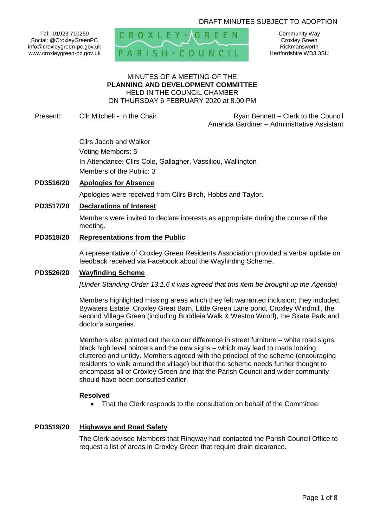# DRAFT MINUTES SUBJECT TO ADOPTION

Tel: 01923 710250 Social: @CroxleyGreenPC info@croxleygreen-pc.gov.uk www.croxleygreen-pc.gov.uk



Community Way Croxley Green Rickmansworth Hertfordshire WD3 3SU

#### MINUTES OF A MEETING OF THE **PLANNING AND DEVELOPMENT COMMITTEE** HELD IN THE COUNCIL CHAMBER ON THURSDAY 6 FEBRUARY 2020 at 8.00 PM

Present: Cllr Mitchell - In the Chair **Ryan Bennett – Clerk to the Council** Amanda Gardiner – Administrative Assistant

> Cllrs Jacob and Walker Voting Members: 5 In Attendance: Cllrs Cole, Gallagher, Vassiliou, Wallington Members of the Public: 3

## **PD3516/20 Apologies for Absence**

Apologies were received from Cllrs Birch, Hobbs and Taylor.

## **PD3517/20 Declarations of Interest**

Members were invited to declare interests as appropriate during the course of the meeting.

#### **PD3518/20 Representations from the Public**

A representative of Croxley Green Residents Association provided a verbal update on feedback received via Facebook about the Wayfinding Scheme.

#### **PD3526/20 Wayfinding Scheme**

*[Under Standing Order 13.1.6 it was agreed that this item be brought up the Agenda]*

Members highlighted missing areas which they felt warranted inclusion; they included, Bywaters Estate, Croxley Great Barn, Little Green Lane pond, Croxley Windmill, the second Village Green (including Buddleia Walk & Weston Wood), the Skate Park and doctor's surgeries.

Members also pointed out the colour difference in street furniture – white road signs, black high level pointers and the new signs – which may lead to roads looking cluttered and untidy. Members agreed with the principal of the scheme (encouraging residents to walk around the village) but that the scheme needs further thought to encompass all of Croxley Green and that the Parish Council and wider community should have been consulted earlier.

#### **Resolved**

That the Clerk responds to the consultation on behalf of the Committee.

#### **PD3519/20 Highways and Road Safety**

The Clerk advised Members that Ringway had contacted the Parish Council Office to request a list of areas in Croxley Green that require drain clearance.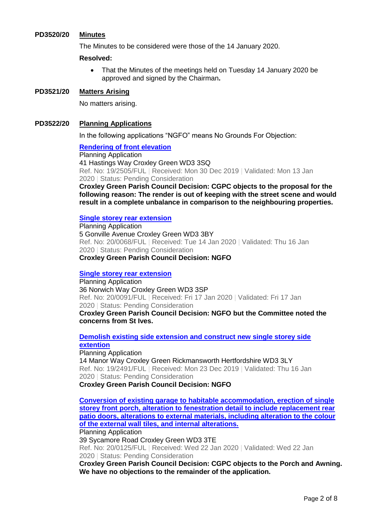### **PD3520/20 Minutes**

The Minutes to be considered were those of the 14 January 2020.

## **Resolved:**

• That the Minutes of the meetings held on Tuesday 14 January 2020 be approved and signed by the Chairman**.**

## **PD3521/20 Matters Arising**

No matters arising.

## **PD3522/20 Planning Applications**

In the following applications "NGFO" means No Grounds For Objection:

## **[Rendering of front elevation](https://www3.threerivers.gov.uk/online-applications/applicationDetails.do?activeTab=summary&keyVal=Q3BQPYQFHO700&prevPage=inTray)**

Planning Application 41 Hastings Way Croxley Green WD3 3SQ Ref. No: 19/2505/FUL | Received: Mon 30 Dec 2019 | Validated: Mon 13 Jan 2020 | Status: Pending Consideration

**Croxley Green Parish Council Decision: CGPC objects to the proposal for the following reason: The render is out of keeping with the street scene and would result in a complete unbalance in comparison to the neighbouring properties.** 

#### **[Single storey rear extension](https://www3.threerivers.gov.uk/online-applications/applicationDetails.do?activeTab=summary&keyVal=Q437MTQFHS400&prevPage=inTray)**

Planning Application 5 Gonville Avenue Croxley Green WD3 3BY Ref. No: 20/0068/FUL | Received: Tue 14 Jan 2020 | Validated: Thu 16 Jan 2020 | Status: Pending Consideration **Croxley Green Parish Council Decision: NGFO**

#### **[Single storey rear extension](https://www3.threerivers.gov.uk/online-applications/applicationDetails.do?activeTab=summary&keyVal=Q48RNTQFHTO00&prevPage=inTray)**

Planning Application 36 Norwich Way Croxley Green WD3 3SP Ref. No: 20/0091/FUL | Received: Fri 17 Jan 2020 | Validated: Fri 17 Jan 2020 | Status: Pending Consideration **Croxley Green Parish Council Decision: NGFO but the Committee noted the concerns from St Ives.**

# **[Demolish existing side extension and construct new single storey side](https://www3.threerivers.gov.uk/online-applications/applicationDetails.do?activeTab=summary&keyVal=Q2YR78QF0DC00&prevPage=inTray)  [extention](https://www3.threerivers.gov.uk/online-applications/applicationDetails.do?activeTab=summary&keyVal=Q2YR78QF0DC00&prevPage=inTray)**

Planning Application 14 Manor Way Croxley Green Rickmansworth Hertfordshire WD3 3LY Ref. No: 19/2491/FUL | Received: Mon 23 Dec 2019 | Validated: Thu 16 Jan 2020 | Status: Pending Consideration **Croxley Green Parish Council Decision: NGFO**

**[Conversion of existing garage to habitable accommodation, erection of single](https://www3.threerivers.gov.uk/online-applications/applicationDetails.do?activeTab=summary&keyVal=Q4IC3IQFHV900&prevPage=inTray)  [storey front porch, alteration to fenestration detail to include replacement rear](https://www3.threerivers.gov.uk/online-applications/applicationDetails.do?activeTab=summary&keyVal=Q4IC3IQFHV900&prevPage=inTray)  [patio doors, alterations to external materials, including alteration to the colour](https://www3.threerivers.gov.uk/online-applications/applicationDetails.do?activeTab=summary&keyVal=Q4IC3IQFHV900&prevPage=inTray)  [of the external wall tiles, and internal alterations.](https://www3.threerivers.gov.uk/online-applications/applicationDetails.do?activeTab=summary&keyVal=Q4IC3IQFHV900&prevPage=inTray)**

Planning Application

39 Sycamore Road Croxley Green WD3 3TE

Ref. No: 20/0125/FUL | Received: Wed 22 Jan 2020 | Validated: Wed 22 Jan 2020 | Status: Pending Consideration

**Croxley Green Parish Council Decision: CGPC objects to the Porch and Awning. We have no objections to the remainder of the application.**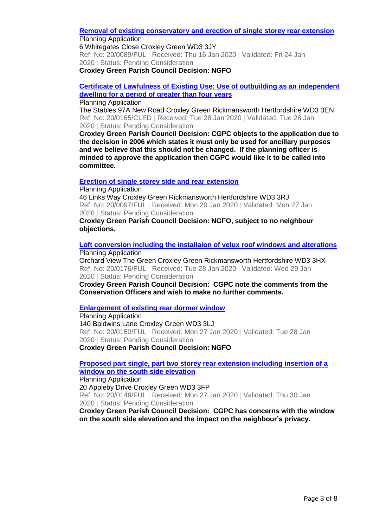#### **[Removal of existing conservatory and erection of single storey rear extension](https://www3.threerivers.gov.uk/online-applications/applicationDetails.do?activeTab=summary&keyVal=Q4782AQFHTI00&prevPage=inTray)** Planning Application

6 Whitegates Close Croxley Green WD3 3JY Ref. No: 20/0089/FUL | Received: Thu 16 Jan 2020 | Validated: Fri 24 Jan 2020 | Status: Pending Consideration

**Croxley Green Parish Council Decision: NGFO**

**[Certificate of Lawfulness of Existing Use: Use of outbuilding as an independent](https://www3.threerivers.gov.uk/online-applications/applicationDetails.do?activeTab=summary&keyVal=Q4T4XRQFHX800&prevPage=inTray)  [dwelling for a period of greater than four years](https://www3.threerivers.gov.uk/online-applications/applicationDetails.do?activeTab=summary&keyVal=Q4T4XRQFHX800&prevPage=inTray)**

### Planning Application

The Stables 97A New Road Croxley Green Rickmansworth Hertfordshire WD3 3EN Ref. No: 20/0165/CLED | Received: Tue 28 Jan 2020 | Validated: Tue 28 Jan 2020 | Status: Pending Consideration

**Croxley Green Parish Council Decision: CGPC objects to the application due to the decision in 2006 which states it must only be used for ancillary purposes and we believe that this should not be changed. If the planning officer is minded to approve the application then CGPC would like it to be called into committee.**

# **[Erection of single storey side and rear extension](https://www3.threerivers.gov.uk/online-applications/applicationDetails.do?activeTab=summary&keyVal=Q4AMBCQFHU300&prevPage=inTray)**

Planning Application 46 Links Way Croxley Green Rickmansworth Hertfordshire WD3 3RJ Ref. No: 20/0097/FUL | Received: Mon 20 Jan 2020 | Validated: Mon 27 Jan 2020 | Status: Pending Consideration

**Croxley Green Parish Council Decision: NGFO, subject to no neighbour objections.**

#### **[Loft conversion including the installaion of velux roof windows and alterations](https://www3.threerivers.gov.uk/online-applications/applicationDetails.do?activeTab=summary&keyVal=Q4TMHGQF0D100&prevPage=inTray)** Planning Application

Orchard View The Green Croxley Green Rickmansworth Hertfordshire WD3 3HX Ref. No: 20/0176/FUL | Received: Tue 28 Jan 2020 | Validated: Wed 29 Jan 2020 | Status: Pending Consideration

**Croxley Green Parish Council Decision: CGPC note the comments from the Conservation Officers and wish to make no further comments.**

# **[Enlargement of existing rear dormer window](https://www3.threerivers.gov.uk/online-applications/applicationDetails.do?activeTab=summary&keyVal=Q4NKYFQFHWH00&prevPage=inTray)**

Planning Application 140 Baldwins Lane Croxley Green WD3 3LJ Ref. No: 20/0150/FUL | Received: Mon 27 Jan 2020 | Validated: Tue 28 Jan 2020 | Status: Pending Consideration **Croxley Green Parish Council Decision: NGFO**

**[Proposed part single, part two storey rear extension including insertion of a](https://www3.threerivers.gov.uk/online-applications/applicationDetails.do?activeTab=summary&keyVal=Q4NKY1QFHWE00&prevPage=inTray)** 

**[window on the south side elevation](https://www3.threerivers.gov.uk/online-applications/applicationDetails.do?activeTab=summary&keyVal=Q4NKY1QFHWE00&prevPage=inTray)**

Planning Application

20 Appleby Drive Croxley Green WD3 3FP Ref. No: 20/0149/FUL | Received: Mon 27 Jan 2020 | Validated: Thu 30 Jan 2020 | Status: Pending Consideration

**Croxley Green Parish Council Decision: CGPC has concerns with the window on the south side elevation and the impact on the neighbour's privacy.**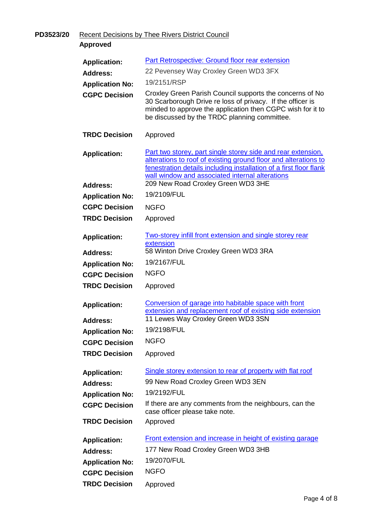**PD3523/20** Recent Decisions by Thee Rivers District Council

**Approved**

| <b>Application:</b>    | <b>Part Retrospective: Ground floor rear extension</b>                                                                                                                                                                                                   |
|------------------------|----------------------------------------------------------------------------------------------------------------------------------------------------------------------------------------------------------------------------------------------------------|
| <b>Address:</b>        | 22 Pevensey Way Croxley Green WD3 3FX                                                                                                                                                                                                                    |
| <b>Application No:</b> | 19/2151/RSP                                                                                                                                                                                                                                              |
| <b>CGPC Decision</b>   | Croxley Green Parish Council supports the concerns of No<br>30 Scarborough Drive re loss of privacy. If the officer is<br>minded to approve the application then CGPC wish for it to<br>be discussed by the TRDC planning committee.                     |
| <b>TRDC Decision</b>   | Approved                                                                                                                                                                                                                                                 |
| <b>Application:</b>    | Part two storey, part single storey side and rear extension,<br>alterations to roof of existing ground floor and alterations to<br>fenestration details including installation of a first floor flank<br>wall window and associated internal alterations |
| <b>Address:</b>        | 209 New Road Croxley Green WD3 3HE                                                                                                                                                                                                                       |
| <b>Application No:</b> | 19/2109/FUL                                                                                                                                                                                                                                              |
| <b>CGPC Decision</b>   | <b>NGFO</b>                                                                                                                                                                                                                                              |
| <b>TRDC Decision</b>   | Approved                                                                                                                                                                                                                                                 |
| <b>Application:</b>    | <b>Two-storey infill front extension and single storey rear</b><br>extension                                                                                                                                                                             |
| <b>Address:</b>        | 58 Winton Drive Croxley Green WD3 3RA                                                                                                                                                                                                                    |
| <b>Application No:</b> | 19/2167/FUL                                                                                                                                                                                                                                              |
| <b>CGPC Decision</b>   | <b>NGFO</b>                                                                                                                                                                                                                                              |
| <b>TRDC Decision</b>   | Approved                                                                                                                                                                                                                                                 |
| <b>Application:</b>    | Conversion of garage into habitable space with front<br>extension and replacement roof of existing side extension                                                                                                                                        |
| <b>Address:</b>        | 11 Lewes Way Croxley Green WD3 3SN                                                                                                                                                                                                                       |
| <b>Application No:</b> | 19/2198/FUL                                                                                                                                                                                                                                              |
| <b>CGPC Decision</b>   | <b>NGFO</b>                                                                                                                                                                                                                                              |
| <b>TRDC Decision</b>   | Approved                                                                                                                                                                                                                                                 |
| <b>Application:</b>    | Single storey extension to rear of property with flat roof                                                                                                                                                                                               |
| <b>Address:</b>        | 99 New Road Croxley Green WD3 3EN                                                                                                                                                                                                                        |
| <b>Application No:</b> | 19/2192/FUL                                                                                                                                                                                                                                              |
| <b>CGPC Decision</b>   | If there are any comments from the neighbours, can the                                                                                                                                                                                                   |
|                        | case officer please take note.                                                                                                                                                                                                                           |
| <b>TRDC Decision</b>   | Approved                                                                                                                                                                                                                                                 |
| <b>Application:</b>    | Front extension and increase in height of existing garage                                                                                                                                                                                                |
| <b>Address:</b>        | 177 New Road Croxley Green WD3 3HB                                                                                                                                                                                                                       |
| <b>Application No:</b> | 19/2070/FUL                                                                                                                                                                                                                                              |
| <b>CGPC Decision</b>   | <b>NGFO</b>                                                                                                                                                                                                                                              |
| <b>TRDC Decision</b>   | Approved                                                                                                                                                                                                                                                 |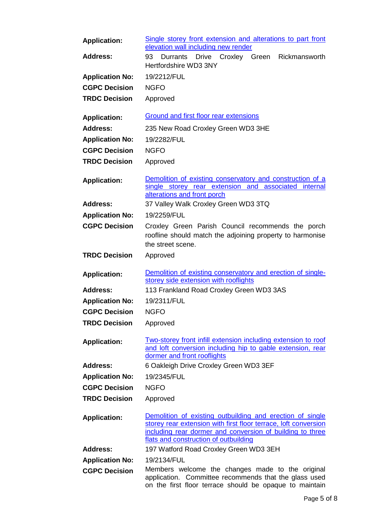| <b>Application:</b>    | Single storey front extension and alterations to part front<br>elevation wall including new render                                                                                                                                 |
|------------------------|------------------------------------------------------------------------------------------------------------------------------------------------------------------------------------------------------------------------------------|
| <b>Address:</b>        | Durrants Drive Croxley Green<br>93<br>Rickmansworth<br>Hertfordshire WD3 3NY                                                                                                                                                       |
| <b>Application No:</b> | 19/2212/FUL                                                                                                                                                                                                                        |
| <b>CGPC Decision</b>   | <b>NGFO</b>                                                                                                                                                                                                                        |
| <b>TRDC Decision</b>   | Approved                                                                                                                                                                                                                           |
| <b>Application:</b>    | Ground and first floor rear extensions                                                                                                                                                                                             |
| <b>Address:</b>        | 235 New Road Croxley Green WD3 3HE                                                                                                                                                                                                 |
| <b>Application No:</b> | 19/2282/FUL                                                                                                                                                                                                                        |
| <b>CGPC Decision</b>   | <b>NGFO</b>                                                                                                                                                                                                                        |
| <b>TRDC Decision</b>   | Approved                                                                                                                                                                                                                           |
| <b>Application:</b>    | Demolition of existing conservatory and construction of a<br>single storey rear extension and associated internal<br>alterations and front porch                                                                                   |
| <b>Address:</b>        | 37 Valley Walk Croxley Green WD3 3TQ                                                                                                                                                                                               |
| <b>Application No:</b> | 19/2259/FUL                                                                                                                                                                                                                        |
| <b>CGPC Decision</b>   | Croxley Green Parish Council recommends the porch<br>roofline should match the adjoining property to harmonise<br>the street scene.                                                                                                |
| <b>TRDC Decision</b>   | Approved                                                                                                                                                                                                                           |
| <b>Application:</b>    | Demolition of existing conservatory and erection of single-<br>storey side extension with rooflights                                                                                                                               |
| <b>Address:</b>        | 113 Frankland Road Croxley Green WD3 3AS                                                                                                                                                                                           |
| <b>Application No:</b> | 19/2311/FUL                                                                                                                                                                                                                        |
| <b>CGPC Decision</b>   | <b>NGFO</b>                                                                                                                                                                                                                        |
| <b>TRDC Decision</b>   | Approved                                                                                                                                                                                                                           |
| <b>Application:</b>    | Two-storey front infill extension including extension to roof<br>and loft conversion including hip to gable extension, rear<br>dormer and front rooflights                                                                         |
| <b>Address:</b>        | 6 Oakleigh Drive Croxley Green WD3 3EF                                                                                                                                                                                             |
| <b>Application No:</b> | 19/2345/FUL                                                                                                                                                                                                                        |
| <b>CGPC Decision</b>   | <b>NGFO</b>                                                                                                                                                                                                                        |
| <b>TRDC Decision</b>   | Approved                                                                                                                                                                                                                           |
| <b>Application:</b>    | Demolition of existing outbuilding and erection of single<br>storey rear extension with first floor terrace, loft conversion<br>including rear dormer and conversion of building to three<br>flats and construction of outbuilding |
| <b>Address:</b>        | 197 Watford Road Croxley Green WD3 3EH                                                                                                                                                                                             |
| <b>Application No:</b> | 19/2134/FUL                                                                                                                                                                                                                        |
| <b>CGPC Decision</b>   | Members welcome the changes made to the original<br>application. Committee recommends that the glass used<br>on the first floor terrace should be opaque to maintain                                                               |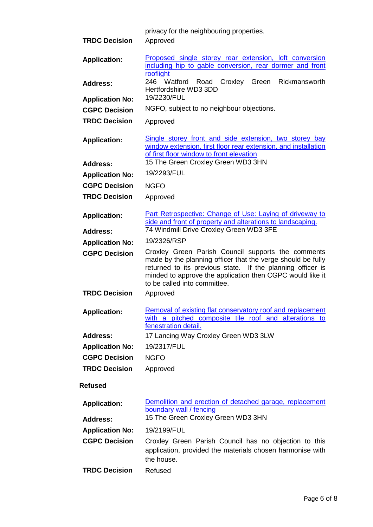|                                                | privacy for the neighbouring properties.                                                                                                                                                                               |
|------------------------------------------------|------------------------------------------------------------------------------------------------------------------------------------------------------------------------------------------------------------------------|
| <b>TRDC Decision</b>                           | Approved                                                                                                                                                                                                               |
| <b>Application:</b>                            | Proposed single storey rear extension, loft conversion<br>including hip to gable conversion, rear dormer and front<br>rooflight                                                                                        |
| <b>Address:</b>                                | 246 Watford Road<br>Croxley<br>Green<br>Rickmansworth<br>Hertfordshire WD3 3DD                                                                                                                                         |
| <b>Application No:</b>                         | 19/2230/FUL                                                                                                                                                                                                            |
| <b>CGPC Decision</b>                           | NGFO, subject to no neighbour objections.                                                                                                                                                                              |
| <b>TRDC Decision</b>                           | Approved                                                                                                                                                                                                               |
| <b>Application:</b>                            | Single storey front and side extension, two storey bay<br>window extension, first floor rear extension, and installation<br>of first floor window to front elevation                                                   |
| <b>Address:</b>                                | 15 The Green Croxley Green WD3 3HN                                                                                                                                                                                     |
| <b>Application No:</b>                         | 19/2293/FUL                                                                                                                                                                                                            |
| <b>CGPC Decision</b>                           | <b>NGFO</b>                                                                                                                                                                                                            |
| <b>TRDC Decision</b>                           | Approved                                                                                                                                                                                                               |
| <b>Application:</b>                            | Part Retrospective: Change of Use: Laying of driveway to<br>side and front of property and alterations to landscaping.<br>74 Windmill Drive Croxley Green WD3 3FE                                                      |
| <b>Address:</b>                                | 19/2326/RSP                                                                                                                                                                                                            |
| <b>Application No:</b><br><b>CGPC Decision</b> | Croxley Green Parish Council supports the comments                                                                                                                                                                     |
|                                                | made by the planning officer that the verge should be fully<br>returned to its previous state. If the planning officer is<br>minded to approve the application then CGPC would like it<br>to be called into committee. |
| <b>TRDC Decision</b>                           | Approved                                                                                                                                                                                                               |
| <b>Application:</b>                            | Removal of existing flat conservatory roof and replacement<br>with a pitched composite tile roof and alterations to<br>fenestration detail.                                                                            |
| <b>Address:</b>                                | 17 Lancing Way Croxley Green WD3 3LW                                                                                                                                                                                   |
| <b>Application No:</b>                         | 19/2317/FUL                                                                                                                                                                                                            |
| <b>CGPC Decision</b>                           | <b>NGFO</b>                                                                                                                                                                                                            |
| <b>TRDC Decision</b>                           | Approved                                                                                                                                                                                                               |
| <b>Refused</b>                                 |                                                                                                                                                                                                                        |
| <b>Application:</b>                            | Demolition and erection of detached garage, replacement<br>boundary wall / fencing                                                                                                                                     |
| <b>Address:</b>                                | 15 The Green Croxley Green WD3 3HN                                                                                                                                                                                     |
| <b>Application No:</b>                         | 19/2199/FUL                                                                                                                                                                                                            |
|                                                |                                                                                                                                                                                                                        |
| <b>CGPC Decision</b><br><b>TRDC Decision</b>   | Croxley Green Parish Council has no objection to this<br>application, provided the materials chosen harmonise with<br>the house.                                                                                       |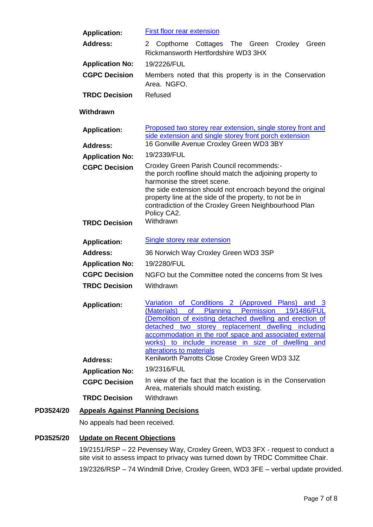| <b>Application:</b>                    | <b>First floor rear extension</b>                                                                                                                                                                                                                                                                                                                                        |
|----------------------------------------|--------------------------------------------------------------------------------------------------------------------------------------------------------------------------------------------------------------------------------------------------------------------------------------------------------------------------------------------------------------------------|
| <b>Address:</b>                        | Copthorne Cottages The Green<br>Croxley<br>2<br>Green<br>Rickmansworth Hertfordshire WD3 3HX                                                                                                                                                                                                                                                                             |
| <b>Application No:</b>                 | 19/2226/FUL                                                                                                                                                                                                                                                                                                                                                              |
| <b>CGPC Decision</b>                   | Members noted that this property is in the Conservation<br>Area. NGFO.                                                                                                                                                                                                                                                                                                   |
| <b>TRDC Decision</b>                   | Refused                                                                                                                                                                                                                                                                                                                                                                  |
| Withdrawn                              |                                                                                                                                                                                                                                                                                                                                                                          |
| <b>Application:</b><br><b>Address:</b> | Proposed two storey rear extension, single storey front and<br>side extension and single storey front porch extension<br>16 Gonville Avenue Croxley Green WD3 3BY                                                                                                                                                                                                        |
| <b>Application No:</b>                 | 19/2339/FUL                                                                                                                                                                                                                                                                                                                                                              |
| <b>CGPC Decision</b>                   | Croxley Green Parish Council recommends:-                                                                                                                                                                                                                                                                                                                                |
|                                        | the porch roofline should match the adjoining property to<br>harmonise the street scene.<br>the side extension should not encroach beyond the original<br>property line at the side of the property, to not be in<br>contradiction of the Croxley Green Neighbourhood Plan<br>Policy CA2.                                                                                |
| <b>TRDC Decision</b>                   | Withdrawn                                                                                                                                                                                                                                                                                                                                                                |
| <b>Application:</b>                    | <b>Single storey rear extension</b>                                                                                                                                                                                                                                                                                                                                      |
| <b>Address:</b>                        | 36 Norwich Way Croxley Green WD3 3SP                                                                                                                                                                                                                                                                                                                                     |
| <b>Application No:</b>                 | 19/2280/FUL                                                                                                                                                                                                                                                                                                                                                              |
| <b>CGPC Decision</b>                   | NGFO but the Committee noted the concerns from St Ives                                                                                                                                                                                                                                                                                                                   |
| <b>TRDC Decision</b>                   | Withdrawn                                                                                                                                                                                                                                                                                                                                                                |
| <b>Application:</b>                    | Variation of Conditions 2 (Approved<br>Plans)<br>and 3<br>(Materials) of Planning Permission 19/1486/FUL<br>(Demolition of existing detached dwelling and erection of<br>detached two storey replacement dwelling including<br>accommodation in the roof space and associated external<br>works) to include increase in size of dwelling and<br>alterations to materials |
| <b>Address:</b>                        | Kenilworth Parrotts Close Croxley Green WD3 3JZ                                                                                                                                                                                                                                                                                                                          |
| <b>Application No:</b>                 | 19/2316/FUL                                                                                                                                                                                                                                                                                                                                                              |
| <b>CGPC Decision</b>                   | In view of the fact that the location is in the Conservation<br>Area, materials should match existing.                                                                                                                                                                                                                                                                   |
| <b>TRDC Decision</b>                   | Withdrawn                                                                                                                                                                                                                                                                                                                                                                |

# **PD3524/20 Appeals Against Planning Decisions**

No appeals had been received.

# **PD3525/20 Update on Recent Objections**

19/2151/RSP – 22 Pevensey Way, Croxley Green, WD3 3FX - request to conduct a site visit to assess impact to privacy was turned down by TRDC Committee Chair.

19/2326/RSP – 74 Windmill Drive, Croxley Green, WD3 3FE – verbal update provided.